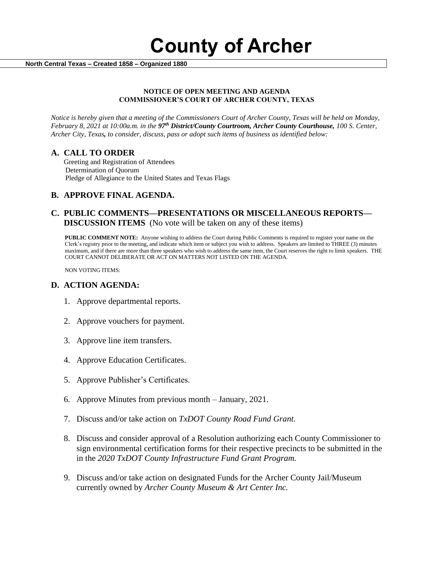**County of Archer** 

 **North Central Texas – Created 1858 – Organized 1880**

#### **NOTICE OF OPEN MEETING AND AGENDA COMMISSIONER'S COURT OF ARCHER COUNTY, TEXAS**

*Notice is hereby given that a meeting of the Commissioners Court of Archer County, Texas will be held on Monday, February 8, 2021 at 10:00a.m. in the 97th District/County Courtroom, Archer County Courthouse, 100 S. Center, Archer City, Texas, to consider, discuss, pass or adopt such items of business as identified below:*

#### **A. CALL TO ORDER**

 Greeting and Registration of Attendees Determination of Quorum Pledge of Allegiance to the United States and Texas Flags

# **B. APPROVE FINAL AGENDA.**

# **C. PUBLIC COMMENTS—PRESENTATIONS OR MISCELLANEOUS REPORTS— DISCUSSION ITEMS** (No vote will be taken on any of these items)

**PUBLIC COMMENT NOTE:** Anyone wishing to address the Court during Public Comments is required to register your name on the Clerk's registry prior to the meeting, and indicate which item or subject you wish to address. Speakers are limited to THREE (3) minutes maximum, and if there are more than three speakers who wish to address the same item, the Court reserves the right to limit speakers. THE COURT CANNOT DELIBERATE OR ACT ON MATTERS NOT LISTED ON THE AGENDA.

NON VOTING ITEMS:

### **D. ACTION AGENDA:**

- 1. Approve departmental reports.
- 2. Approve vouchers for payment.
- 3. Approve line item transfers.
- 4. Approve Education Certificates.
- 5. Approve Publisher's Certificates.
- 6. Approve Minutes from previous month January, 2021.
- 7. Discuss and/or take action on *TxDOT County Road Fund Grant.*
- 8. Discuss and consider approval of a Resolution authorizing each County Commissioner to sign environmental certification forms for their respective precincts to be submitted in the in the *2020 TxDOT County Infrastructure Fund Grant Program.*
- 9. Discuss and/or take action on designated Funds for the Archer County Jail/Museum currently owned by *Archer County Museum & Art Center Inc.*